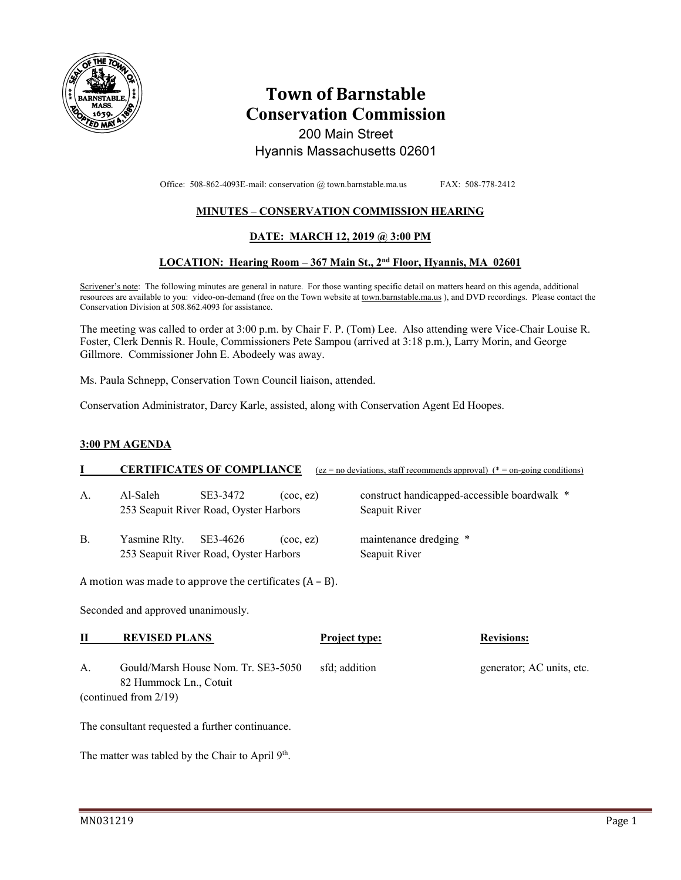

# **Town of Barnstable Conservation Commission**  200 Main Street

# Hyannis Massachusetts 02601

Office: 508-862-4093E-mail: conservation @ town.barnstable.ma.us FAX: 508-778-2412

# **MINUTES – CONSERVATION COMMISSION HEARING**

### **DATE: MARCH 12, 2019 @ 3:00 PM**

### **LOCATION: Hearing Room – 367 Main St., 2nd Floor, Hyannis, MA 02601**

Scrivener's note: The following minutes are general in nature. For those wanting specific detail on matters heard on this agenda, additional resources are available to you: video-on-demand (free on the Town website at town.barnstable.ma.us ), and DVD recordings. Please contact the Conservation Division at 508.862.4093 for assistance.

The meeting was called to order at 3:00 p.m. by Chair F. P. (Tom) Lee. Also attending were Vice-Chair Louise R. Foster, Clerk Dennis R. Houle, Commissioners Pete Sampou (arrived at 3:18 p.m.), Larry Morin, and George Gillmore. Commissioner John E. Abodeely was away.

Ms. Paula Schnepp, Conservation Town Council liaison, attended.

Conservation Administrator, Darcy Karle, assisted, along with Conservation Agent Ed Hoopes.

#### **3:00 PM AGENDA**

|                                                               |                                                                     | <b>CERTIFICATES OF COMPLIANCE</b>                  |                      | $(ez = no deviations, staff recommends approval)$ (* = on-going conditions) |                           |  |
|---------------------------------------------------------------|---------------------------------------------------------------------|----------------------------------------------------|----------------------|-----------------------------------------------------------------------------|---------------------------|--|
| А.                                                            | Al-Saleh                                                            | SE3-3472<br>253 Seapuit River Road, Oyster Harbors | $($ coc $,$ ez $)$   | construct handicapped-accessible boardwalk *<br>Seapuit River               |                           |  |
| В.                                                            | Yasmine Rlty.<br>SE3-4626<br>253 Seapuit River Road, Oyster Harbors |                                                    | $($ coc $,$ ez $)$   | maintenance dredging *<br>Seapuit River                                     |                           |  |
| A motion was made to approve the certificates $(A - B)$ .     |                                                                     |                                                    |                      |                                                                             |                           |  |
| Seconded and approved unanimously.                            |                                                                     |                                                    |                      |                                                                             |                           |  |
| П                                                             | <b>REVISED PLANS</b>                                                |                                                    | <b>Project type:</b> |                                                                             | <b>Revisions:</b>         |  |
| А.                                                            | Gould/Marsh House Nom. Tr. SE3-5050<br>82 Hummock Ln., Cotuit       |                                                    | sfd; addition        |                                                                             | generator; AC units, etc. |  |
| (continued from 2/19)                                         |                                                                     |                                                    |                      |                                                                             |                           |  |
| The consultant requested a further continuance.               |                                                                     |                                                    |                      |                                                                             |                           |  |
| The matter was tabled by the Chair to April 9 <sup>th</sup> . |                                                                     |                                                    |                      |                                                                             |                           |  |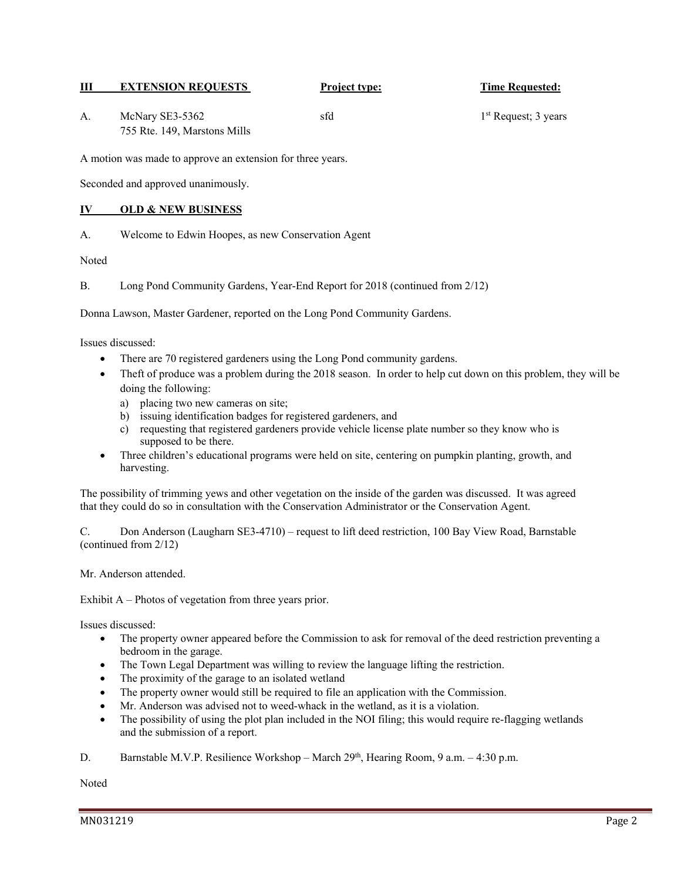### **III EXTENSION REQUESTS Project type: Time Requested:**

| А. | McNary SE3-5362              |  |  |
|----|------------------------------|--|--|
|    | 755 Rte. 149, Marstons Mills |  |  |

 $1<sup>st</sup>$  Request; 3 years

A motion was made to approve an extension for three years.

Seconded and approved unanimously.

### **IV OLD & NEW BUSINESS**

A. Welcome to Edwin Hoopes, as new Conservation Agent

Noted

B. Long Pond Community Gardens, Year-End Report for 2018 (continued from 2/12)

Donna Lawson, Master Gardener, reported on the Long Pond Community Gardens.

Issues discussed:

- There are 70 registered gardeners using the Long Pond community gardens.
- Theft of produce was a problem during the 2018 season. In order to help cut down on this problem, they will be doing the following:
	- a) placing two new cameras on site;
	- b) issuing identification badges for registered gardeners, and
	- c) requesting that registered gardeners provide vehicle license plate number so they know who is supposed to be there.
- Three children's educational programs were held on site, centering on pumpkin planting, growth, and harvesting.

The possibility of trimming yews and other vegetation on the inside of the garden was discussed. It was agreed that they could do so in consultation with the Conservation Administrator or the Conservation Agent.

C. Don Anderson (Laugharn SE3-4710) – request to lift deed restriction, 100 Bay View Road, Barnstable (continued from 2/12)

Mr. Anderson attended.

Exhibit A – Photos of vegetation from three years prior.

Issues discussed:

- The property owner appeared before the Commission to ask for removal of the deed restriction preventing a bedroom in the garage.
- The Town Legal Department was willing to review the language lifting the restriction.
- The proximity of the garage to an isolated wetland
- The property owner would still be required to file an application with the Commission.
- Mr. Anderson was advised not to weed-whack in the wetland, as it is a violation.
- The possibility of using the plot plan included in the NOI filing; this would require re-flagging wetlands and the submission of a report.
- D. Barnstable M.V.P. Resilience Workshop March 29<sup>th</sup>, Hearing Room, 9 a.m. 4:30 p.m.

Noted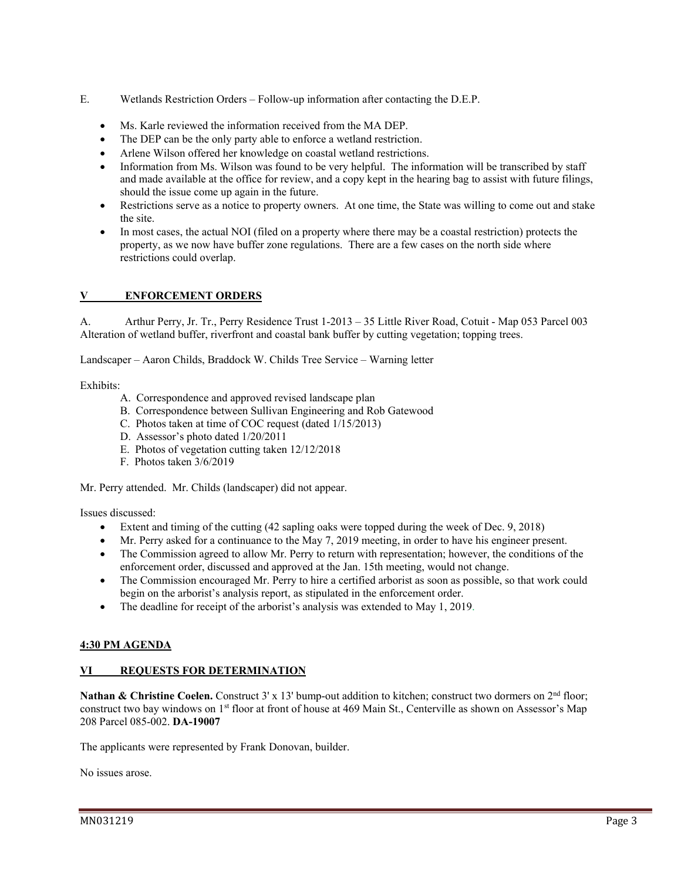- E. Wetlands Restriction Orders Follow-up information after contacting the D.E.P.
	- Ms. Karle reviewed the information received from the MA DEP.
	- The DEP can be the only party able to enforce a wetland restriction.
	- Arlene Wilson offered her knowledge on coastal wetland restrictions.
	- Information from Ms. Wilson was found to be very helpful. The information will be transcribed by staff and made available at the office for review, and a copy kept in the hearing bag to assist with future filings, should the issue come up again in the future.
	- Restrictions serve as a notice to property owners. At one time, the State was willing to come out and stake the site.
	- In most cases, the actual NOI (filed on a property where there may be a coastal restriction) protects the property, as we now have buffer zone regulations. There are a few cases on the north side where restrictions could overlap.

# **V ENFORCEMENT ORDERS**

A. Arthur Perry, Jr. Tr., Perry Residence Trust 1-2013 – 35 Little River Road, Cotuit - Map 053 Parcel 003 Alteration of wetland buffer, riverfront and coastal bank buffer by cutting vegetation; topping trees.

Landscaper – Aaron Childs, Braddock W. Childs Tree Service – Warning letter

#### Exhibits:

- A. Correspondence and approved revised landscape plan
- B. Correspondence between Sullivan Engineering and Rob Gatewood
- C. Photos taken at time of COC request (dated 1/15/2013)
- D. Assessor's photo dated 1/20/2011
- E. Photos of vegetation cutting taken 12/12/2018
- F. Photos taken 3/6/2019

Mr. Perry attended. Mr. Childs (landscaper) did not appear.

Issues discussed:

- Extent and timing of the cutting (42 sapling oaks were topped during the week of Dec. 9, 2018)
- Mr. Perry asked for a continuance to the May 7, 2019 meeting, in order to have his engineer present.
- The Commission agreed to allow Mr. Perry to return with representation; however, the conditions of the enforcement order, discussed and approved at the Jan. 15th meeting, would not change.
- The Commission encouraged Mr. Perry to hire a certified arborist as soon as possible, so that work could begin on the arborist's analysis report, as stipulated in the enforcement order.
- The deadline for receipt of the arborist's analysis was extended to May 1, 2019.

#### **4:30 PM AGENDA**

#### **VI REQUESTS FOR DETERMINATION**

Nathan & Christine Coelen. Construct 3' x 13' bump-out addition to kitchen; construct two dormers on 2<sup>nd</sup> floor; construct two bay windows on 1<sup>st</sup> floor at front of house at 469 Main St., Centerville as shown on Assessor's Map 208 Parcel 085-002. **DA-19007** 

The applicants were represented by Frank Donovan, builder.

No issues arose.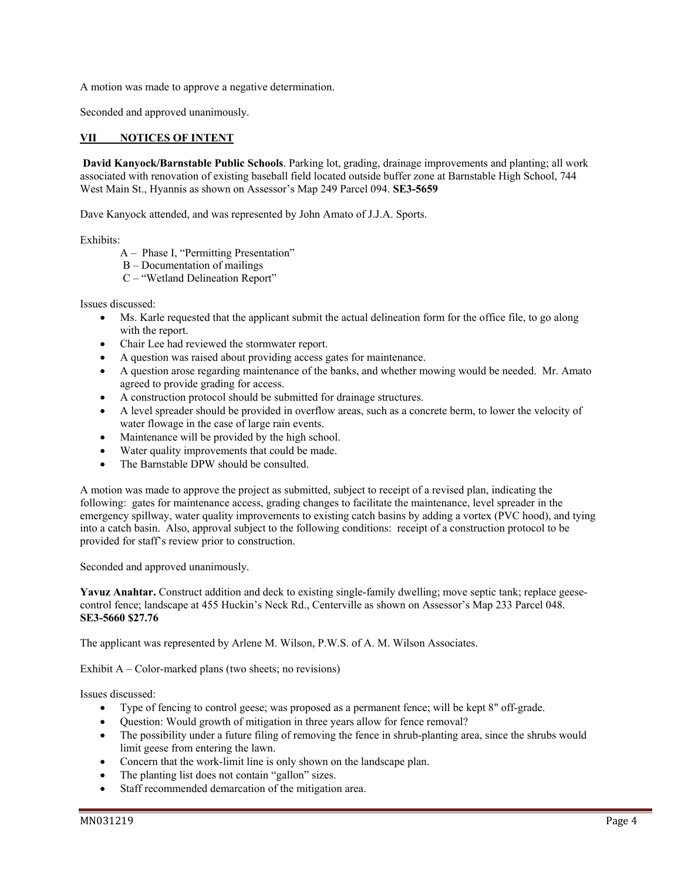A motion was made to approve a negative determination.

Seconded and approved unanimously.

## **VII NOTICES OF INTENT**

**David Kanyock/Barnstable Public Schools**. Parking lot, grading, drainage improvements and planting; all work associated with renovation of existing baseball field located outside buffer zone at Barnstable High School, 744 West Main St., Hyannis as shown on Assessor's Map 249 Parcel 094. **SE3-5659** 

Dave Kanyock attended, and was represented by John Amato of J.J.A. Sports.

Exhibits:

- A Phase I, "Permitting Presentation"
- B Documentation of mailings
- C "Wetland Delineation Report"

Issues discussed:

- Ms. Karle requested that the applicant submit the actual delineation form for the office file, to go along with the report.
- Chair Lee had reviewed the stormwater report.
- A question was raised about providing access gates for maintenance.
- A question arose regarding maintenance of the banks, and whether mowing would be needed. Mr. Amato agreed to provide grading for access.
- A construction protocol should be submitted for drainage structures.
- A level spreader should be provided in overflow areas, such as a concrete berm, to lower the velocity of water flowage in the case of large rain events.
- Maintenance will be provided by the high school.
- Water quality improvements that could be made.
- The Barnstable DPW should be consulted.

A motion was made to approve the project as submitted, subject to receipt of a revised plan, indicating the following: gates for maintenance access, grading changes to facilitate the maintenance, level spreader in the emergency spillway, water quality improvements to existing catch basins by adding a vortex (PVC hood), and tying into a catch basin. Also, approval subject to the following conditions: receipt of a construction protocol to be provided for staff's review prior to construction.

Seconded and approved unanimously.

**Yavuz Anahtar.** Construct addition and deck to existing single-family dwelling; move septic tank; replace geesecontrol fence; landscape at 455 Huckin's Neck Rd., Centerville as shown on Assessor's Map 233 Parcel 048. **SE3-5660 \$27.76**

The applicant was represented by Arlene M. Wilson, P.W.S. of A. M. Wilson Associates.

Exhibit  $A - Color-market$  plans (two sheets; no revisions)

Issues discussed:

- Type of fencing to control geese; was proposed as a permanent fence; will be kept 8" off-grade.
- Question: Would growth of mitigation in three years allow for fence removal?
- The possibility under a future filing of removing the fence in shrub-planting area, since the shrubs would limit geese from entering the lawn.
- Concern that the work-limit line is only shown on the landscape plan.
- The planting list does not contain "gallon" sizes.
- Staff recommended demarcation of the mitigation area.